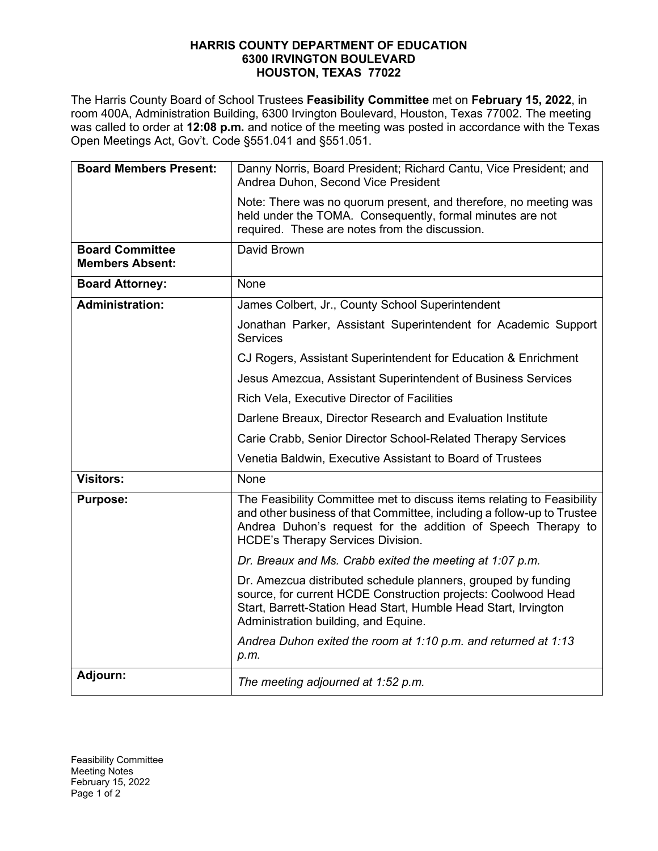## **HARRIS COUNTY DEPARTMENT OF EDUCATION 6300 IRVINGTON BOULEVARD HOUSTON, TEXAS 77022**

The Harris County Board of School Trustees **Feasibility Committee** met on **February 15, 2022**, in room 400A, Administration Building, 6300 Irvington Boulevard, Houston, Texas 77002. The meeting was called to order at **12:08 p.m.** and notice of the meeting was posted in accordance with the Texas Open Meetings Act, Gov't. Code §551.041 and §551.051.

| <b>Board Members Present:</b>                    | Danny Norris, Board President; Richard Cantu, Vice President; and<br>Andrea Duhon, Second Vice President                                                                                                                                                     |
|--------------------------------------------------|--------------------------------------------------------------------------------------------------------------------------------------------------------------------------------------------------------------------------------------------------------------|
|                                                  | Note: There was no quorum present, and therefore, no meeting was<br>held under the TOMA. Consequently, formal minutes are not<br>required. These are notes from the discussion.                                                                              |
| <b>Board Committee</b><br><b>Members Absent:</b> | David Brown                                                                                                                                                                                                                                                  |
| <b>Board Attorney:</b>                           | None                                                                                                                                                                                                                                                         |
| <b>Administration:</b>                           | James Colbert, Jr., County School Superintendent                                                                                                                                                                                                             |
|                                                  | Jonathan Parker, Assistant Superintendent for Academic Support<br><b>Services</b>                                                                                                                                                                            |
|                                                  | CJ Rogers, Assistant Superintendent for Education & Enrichment                                                                                                                                                                                               |
|                                                  | Jesus Amezcua, Assistant Superintendent of Business Services                                                                                                                                                                                                 |
|                                                  | Rich Vela, Executive Director of Facilities                                                                                                                                                                                                                  |
|                                                  | Darlene Breaux, Director Research and Evaluation Institute                                                                                                                                                                                                   |
|                                                  | Carie Crabb, Senior Director School-Related Therapy Services                                                                                                                                                                                                 |
|                                                  | Venetia Baldwin, Executive Assistant to Board of Trustees                                                                                                                                                                                                    |
| <b>Visitors:</b>                                 | None                                                                                                                                                                                                                                                         |
| <b>Purpose:</b>                                  | The Feasibility Committee met to discuss items relating to Feasibility<br>and other business of that Committee, including a follow-up to Trustee<br>Andrea Duhon's request for the addition of Speech Therapy to<br><b>HCDE's Therapy Services Division.</b> |
|                                                  | Dr. Breaux and Ms. Crabb exited the meeting at 1:07 p.m.                                                                                                                                                                                                     |
|                                                  | Dr. Amezcua distributed schedule planners, grouped by funding<br>source, for current HCDE Construction projects: Coolwood Head<br>Start, Barrett-Station Head Start, Humble Head Start, Irvington<br>Administration building, and Equine.                    |
|                                                  | Andrea Duhon exited the room at 1:10 p.m. and returned at 1:13<br>p.m.                                                                                                                                                                                       |
| Adjourn:                                         | The meeting adjourned at 1:52 p.m.                                                                                                                                                                                                                           |

Feasibility Committee Meeting Notes February 15, 2022 Page 1 of 2